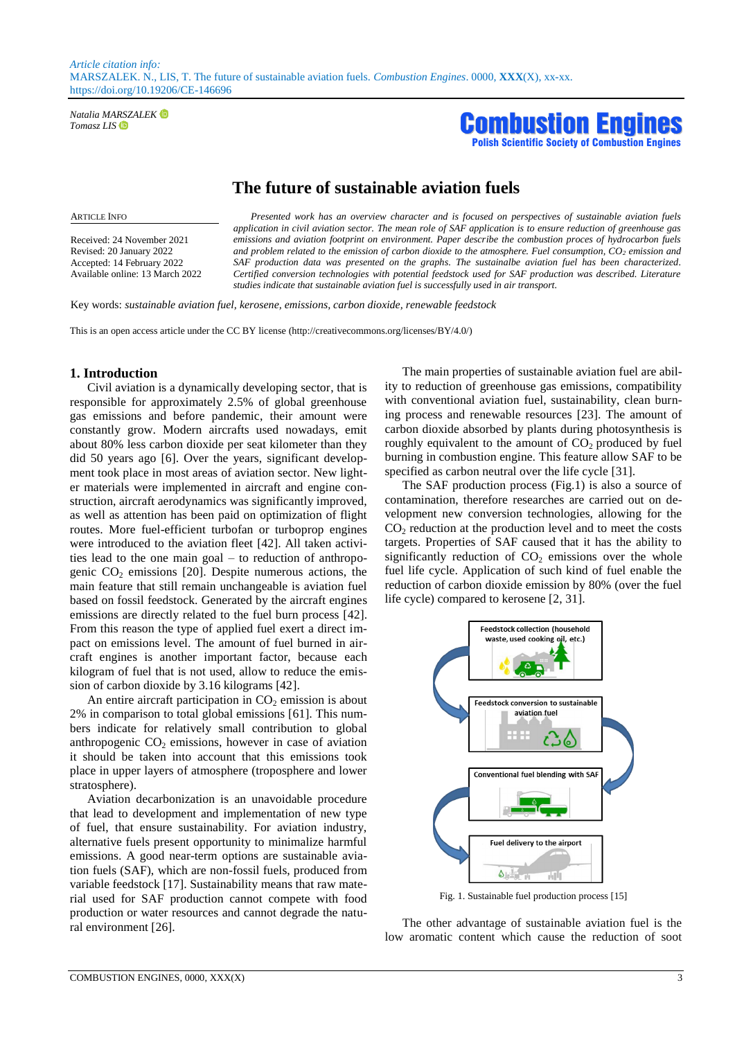*Natalia MARSZALEK Tomasz LIS*



# **The future of sustainable aviation fuels**

Received: 24 November 2021 Revised: 20 January 2022 Accepted: 14 February 2022 Available online: 13 March 2022

ARTICLE INFO *Presented work has an overview character and is focused on perspectives of sustainable aviation fuels application in civil aviation sector. The mean role of SAF application is to ensure reduction of greenhouse gas emissions and aviation footprint on environment. Paper describe the combustion proces of hydrocarbon fuels and problem related to the emission of carbon dioxide to the atmosphere. Fuel consumption, CO<sup>2</sup> emission and SAF production data was presented on the graphs. The sustainalbe aviation fuel has been characterized. Certified conversion technologies with potential feedstock used for SAF production was described. Literature studies indicate that sustainable aviation fuel is successfully used in air transport.*

Key words: *sustainable aviation fuel, kerosene, emissions, carbon dioxide, renewable feedstock*

This is an open access article under the CC BY license (http://creativecommons.org/licenses/BY/4.0/)

## **1. Introduction**

Civil aviation is a dynamically developing sector, that is responsible for approximately 2.5% of global greenhouse gas emissions and before pandemic, their amount were constantly grow. Modern aircrafts used nowadays, emit about 80% less carbon dioxide per seat kilometer than they did 50 years ago [6]. Over the years, significant development took place in most areas of aviation sector. New lighter materials were implemented in aircraft and engine construction, aircraft aerodynamics was significantly improved, as well as attention has been paid on optimization of flight routes. More fuel-efficient turbofan or turboprop engines were introduced to the aviation fleet [42]. All taken activities lead to the one main goal – to reduction of anthropogenic  $CO<sub>2</sub>$  emissions [20]. Despite numerous actions, the main feature that still remain unchangeable is aviation fuel based on fossil feedstock. Generated by the aircraft engines emissions are directly related to the fuel burn process [42]. From this reason the type of applied fuel exert a direct impact on emissions level. The amount of fuel burned in aircraft engines is another important factor, because each kilogram of fuel that is not used, allow to reduce the emission of carbon dioxide by 3.16 kilograms [42].

An entire aircraft participation in  $CO<sub>2</sub>$  emission is about 2% in comparison to total global emissions [61]. This numbers indicate for relatively small contribution to global anthropogenic  $CO<sub>2</sub>$  emissions, however in case of aviation it should be taken into account that this emissions took place in upper layers of atmosphere (troposphere and lower stratosphere).

Aviation decarbonization is an unavoidable procedure that lead to development and implementation of new type of fuel, that ensure sustainability. For aviation industry, alternative fuels present opportunity to minimalize harmful emissions. A good near-term options are sustainable aviation fuels (SAF), which are non-fossil fuels, produced from variable feedstock [17]. Sustainability means that raw material used for SAF production cannot compete with food production or water resources and cannot degrade the natural environment [26].

The main properties of sustainable aviation fuel are ability to reduction of greenhouse gas emissions, compatibility with conventional aviation fuel, sustainability, clean burning process and renewable resources [23]. The amount of carbon dioxide absorbed by plants during photosynthesis is roughly equivalent to the amount of  $CO<sub>2</sub>$  produced by fuel burning in combustion engine. This feature allow SAF to be specified as carbon neutral over the life cycle [31].

The SAF production process (Fig.1) is also a source of contamination, therefore researches are carried out on development new conversion technologies, allowing for the  $CO<sub>2</sub>$  reduction at the production level and to meet the costs targets. Properties of SAF caused that it has the ability to significantly reduction of  $CO<sub>2</sub>$  emissions over the whole fuel life cycle. Application of such kind of fuel enable the reduction of carbon dioxide emission by 80% (over the fuel life cycle) compared to kerosene [2, 31].



Fig. 1. Sustainable fuel production process [15]

The other advantage of sustainable aviation fuel is the low aromatic content which cause the reduction of soot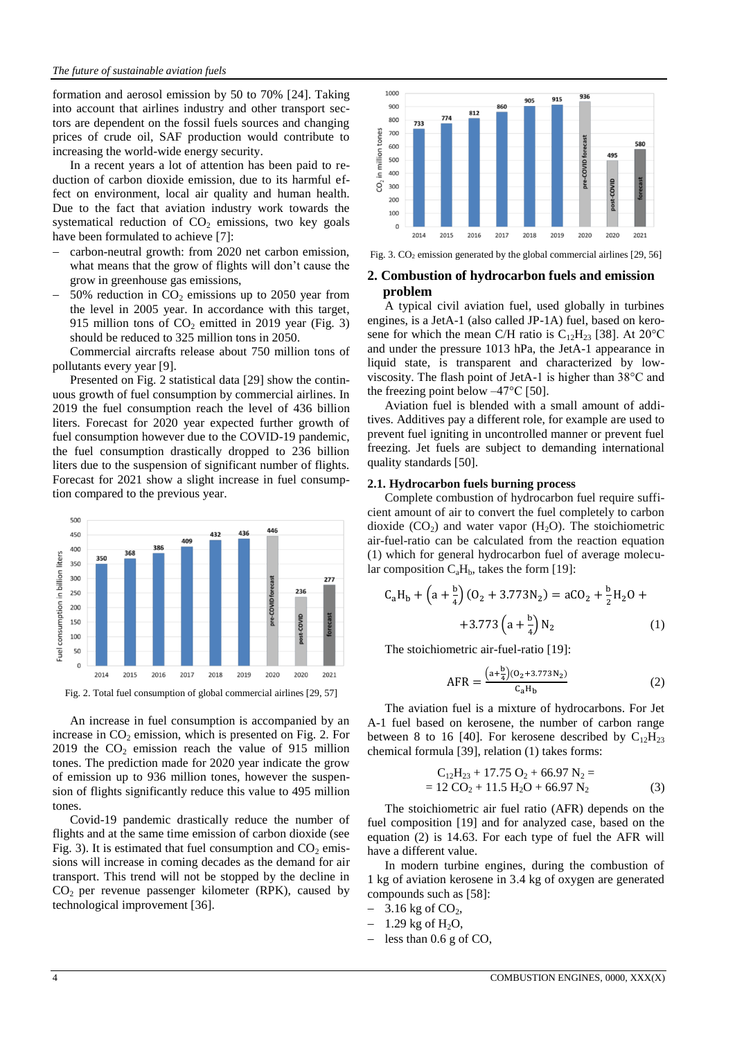formation and aerosol emission by 50 to 70% [24]. Taking into account that airlines industry and other transport sectors are dependent on the fossil fuels sources and changing prices of crude oil, SAF production would contribute to increasing the world-wide energy security.

In a recent years a lot of attention has been paid to reduction of carbon dioxide emission, due to its harmful effect on environment, local air quality and human health. Due to the fact that aviation industry work towards the systematical reduction of  $CO<sub>2</sub>$  emissions, two key goals have been formulated to achieve [7]:

- carbon-neutral growth: from 2020 net carbon emission, what means that the grow of flights will don't cause the grow in greenhouse gas emissions,
- 50% reduction in  $CO<sub>2</sub>$  emissions up to 2050 year from the level in 2005 year. In accordance with this target, 915 million tons of  $CO<sub>2</sub>$  emitted in 2019 year (Fig. 3) should be reduced to 325 million tons in 2050.

Commercial aircrafts release about 750 million tons of pollutants every year [9].

Presented on Fig. 2 statistical data [29] show the continuous growth of fuel consumption by commercial airlines. In 2019 the fuel consumption reach the level of 436 billion liters. Forecast for 2020 year expected further growth of fuel consumption however due to the COVID-19 pandemic, the fuel consumption drastically dropped to 236 billion liters due to the suspension of significant number of flights. Forecast for 2021 show a slight increase in fuel consumption compared to the previous year.



Fig. 2. Total fuel consumption of global commercial airlines [29, 57]

An increase in fuel consumption is accompanied by an increase in  $CO<sub>2</sub>$  emission, which is presented on Fig. 2. For 2019 the  $CO<sub>2</sub>$  emission reach the value of 915 million tones. The prediction made for 2020 year indicate the grow of emission up to 936 million tones, however the suspension of flights significantly reduce this value to 495 million tones.

Covid-19 pandemic drastically reduce the number of flights and at the same time emission of carbon dioxide (see Fig. 3). It is estimated that fuel consumption and  $CO<sub>2</sub>$  emissions will increase in coming decades as the demand for air transport. This trend will not be stopped by the decline in  $CO<sub>2</sub>$  per revenue passenger kilometer (RPK), caused by technological improvement [36].



Fig. 3.  $CO<sub>2</sub>$  emission generated by the global commercial airlines [29, 56]

## **2. Combustion of hydrocarbon fuels and emission problem**

A typical civil aviation fuel, used globally in turbines engines, is a JetA-1 (also called JP-1A) fuel, based on kerosene for which the mean C/H ratio is  $C_{12}H_{23}$  [38]. At 20<sup>o</sup>C and under the pressure 1013 hPa, the JetA-1 appearance in liquid state, is transparent and characterized by lowviscosity. The flash point of JetA-1 is higher than 38°C and the freezing point below  $-47^{\circ}$ C [50].

Aviation fuel is blended with a small amount of additives. Additives pay a different role, for example are used to prevent fuel igniting in uncontrolled manner or prevent fuel freezing. Jet fuels are subject to demanding international quality standards [50].

#### **2.1. Hydrocarbon fuels burning process**

Complete combustion of hydrocarbon fuel require sufficient amount of air to convert the fuel completely to carbon dioxide  $(CO<sub>2</sub>)$  and water vapor  $(H<sub>2</sub>O)$ . The stoichiometric air-fuel-ratio can be calculated from the reaction equation (1) which for general hydrocarbon fuel of average molecular composition  $C_aH_b$ , takes the form [19]:

$$
C_aH_b + \left(a + \frac{b}{4}\right)(O_2 + 3.773N_2) = aCO_2 + \frac{b}{2}H_2O +
$$
  
+3.773  $\left(a + \frac{b}{4}\right)N_2$  (1)

The stoichiometric air-fuel-ratio [19]:

$$
AFR = \frac{\left(a + \frac{b}{4}\right)(O_2 + 3.773 N_2)}{C_a H_b} \tag{2}
$$

The aviation fuel is a mixture of hydrocarbons. For Jet A-1 fuel based on kerosene, the number of carbon range between 8 to 16 [40]. For kerosene described by  $C_{12}H_{23}$ chemical formula [39], relation (1) takes forms:

$$
C_{12}H_{23} + 17.75 O_2 + 66.97 N_2 == 12 CO_2 + 11.5 H_2O + 66.97 N_2
$$
 (3)

The stoichiometric air fuel ratio (AFR) depends on the fuel composition [19] and for analyzed case, based on the equation (2) is 14.63. For each type of fuel the AFR will have a different value.

In modern turbine engines, during the combustion of 1 kg of aviation kerosene in 3.4 kg of oxygen are generated compounds such as [58]:

- $-3.16$  kg of  $CO<sub>2</sub>$ ,
- 1.29 kg of  $H_2O$ ,
- less than 0.6 g of CO,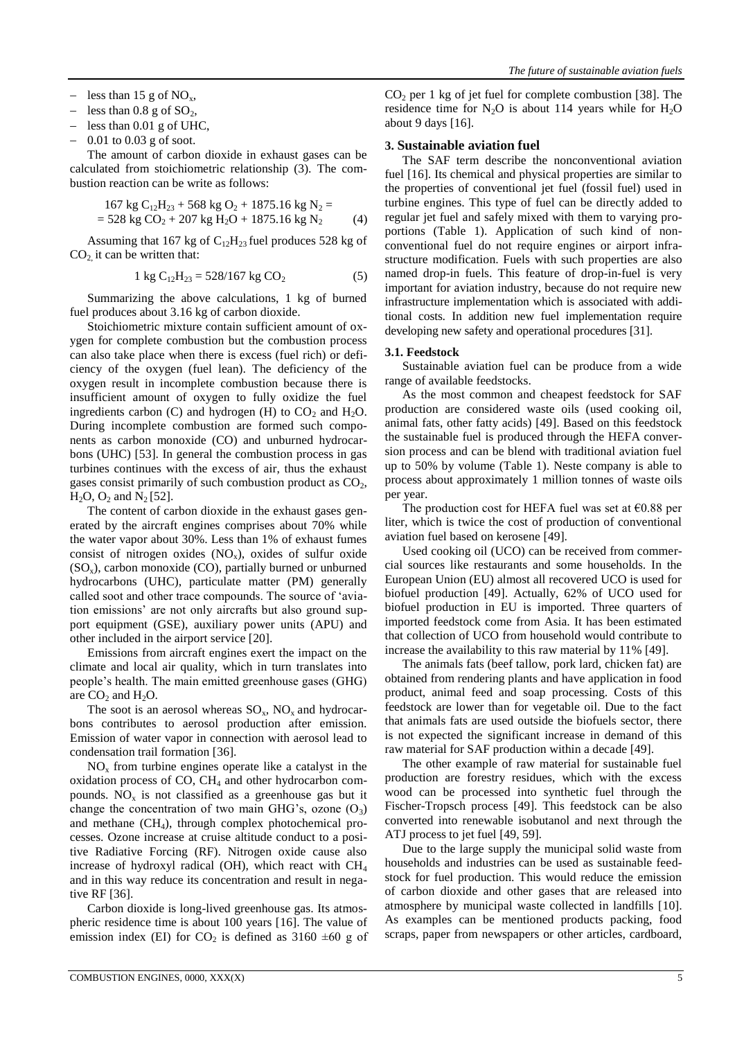- less than 15 g of  $NO_x$ ,
- less than  $0.8$  g of  $SO_2$ ,
- less than 0.01 g of UHC,
- 0.01 to 0.03 g of soot.

The amount of carbon dioxide in exhaust gases can be calculated from stoichiometric relationship (3). The combustion reaction can be write as follows:

$$
167 \text{ kg C}_{12}H_{23} + 568 \text{ kg O}_2 + 1875.16 \text{ kg N}_2 =
$$
  
= 528 kg CO<sub>2</sub> + 207 kg H<sub>2</sub>O + 1875.16 kg N<sub>2</sub> (4)

Assuming that 167 kg of  $C_{12}H_{23}$  fuel produces 528 kg of  $CO<sub>2</sub>$ , it can be written that:

$$
1 \text{ kg } C_{12}H_{23} = 528/167 \text{ kg } CO_2 \tag{5}
$$

Summarizing the above calculations, 1 kg of burned fuel produces about 3.16 kg of carbon dioxide.

Stoichiometric mixture contain sufficient amount of oxygen for complete combustion but the combustion process can also take place when there is excess (fuel rich) or deficiency of the oxygen (fuel lean). The deficiency of the oxygen result in incomplete combustion because there is insufficient amount of oxygen to fully oxidize the fuel ingredients carbon (C) and hydrogen (H) to  $CO<sub>2</sub>$  and  $H<sub>2</sub>O$ . During incomplete combustion are formed such components as carbon monoxide (CO) and unburned hydrocarbons (UHC) [53]. In general the combustion process in gas turbines continues with the excess of air, thus the exhaust gases consist primarily of such combustion product as  $CO<sub>2</sub>$ ,  $H_2O$ ,  $O_2$  and  $N_2$  [52].

The content of carbon dioxide in the exhaust gases generated by the aircraft engines comprises about 70% while the water vapor about 30%. Less than 1% of exhaust fumes consist of nitrogen oxides  $(NO_x)$ , oxides of sulfur oxide  $(SO_x)$ , carbon monoxide  $(CO)$ , partially burned or unburned hydrocarbons (UHC), particulate matter (PM) generally called soot and other trace compounds. The source of 'aviation emissions' are not only aircrafts but also ground support equipment (GSE), auxiliary power units (APU) and other included in the airport service [20].

Emissions from aircraft engines exert the impact on the climate and local air quality, which in turn translates into people's health. The main emitted greenhouse gases (GHG) are  $CO<sub>2</sub>$  and  $H<sub>2</sub>O$ .

The soot is an aerosol whereas  $SO_x$ ,  $NO_x$  and hydrocarbons contributes to aerosol production after emission. Emission of water vapor in connection with aerosol lead to condensation trail formation [36].

 $NO<sub>x</sub>$  from turbine engines operate like a catalyst in the oxidation process of  $CO$ ,  $CH<sub>4</sub>$  and other hydrocarbon compounds.  $NO<sub>x</sub>$  is not classified as a greenhouse gas but it change the concentration of two main GHG's, ozone  $(O_3)$ and methane  $(CH<sub>4</sub>)$ , through complex photochemical processes. Ozone increase at cruise altitude conduct to a positive Radiative Forcing (RF). Nitrogen oxide cause also increase of hydroxyl radical (OH), which react with  $CH<sub>4</sub>$ and in this way reduce its concentration and result in negative RF [36].

Carbon dioxide is long-lived greenhouse gas. Its atmospheric residence time is about 100 years [16]. The value of emission index (EI) for  $CO_2$  is defined as 3160  $\pm 60$  g of  $CO<sub>2</sub>$  per 1 kg of jet fuel for complete combustion [38]. The residence time for  $N_2O$  is about 114 years while for  $H_2O$ about 9 days [16].

#### **3. Sustainable aviation fuel**

The SAF term describe the nonconventional aviation fuel [16]. Its chemical and physical properties are similar to the properties of conventional jet fuel (fossil fuel) used in turbine engines. This type of fuel can be directly added to regular jet fuel and safely mixed with them to varying proportions (Table 1). Application of such kind of nonconventional fuel do not require engines or airport infrastructure modification. Fuels with such properties are also named drop-in fuels. This feature of drop-in-fuel is very important for aviation industry, because do not require new infrastructure implementation which is associated with additional costs. In addition new fuel implementation require developing new safety and operational procedures [31].

#### **3.1. Feedstock**

Sustainable aviation fuel can be produce from a wide range of available feedstocks.

As the most common and cheapest feedstock for SAF production are considered waste oils (used cooking oil, animal fats, other fatty acids) [49]. Based on this feedstock the sustainable fuel is produced through the HEFA conversion process and can be blend with traditional aviation fuel up to 50% by volume (Table 1). Neste company is able to process about approximately 1 million tonnes of waste oils per year.

The production cost for HEFA fuel was set at  $\epsilon$ 0.88 per liter, which is twice the cost of production of conventional aviation fuel based on kerosene [49].

Used cooking oil (UCO) can be received from commercial sources like restaurants and some households. In the European Union (EU) almost all recovered UCO is used for biofuel production [49]. Actually, 62% of UCO used for biofuel production in EU is imported. Three quarters of imported feedstock come from Asia. It has been estimated that collection of UCO from household would contribute to increase the availability to this raw material by 11% [49].

The animals fats (beef tallow, pork lard, chicken fat) are obtained from rendering plants and have application in food product, animal feed and soap processing. Costs of this feedstock are lower than for vegetable oil. Due to the fact that animals fats are used outside the biofuels sector, there is not expected the significant increase in demand of this raw material for SAF production within a decade [49].

The other example of raw material for sustainable fuel production are forestry residues, which with the excess wood can be processed into synthetic fuel through the Fischer-Tropsch process [49]. This feedstock can be also converted into renewable isobutanol and next through the ATJ process to jet fuel [49, 59].

Due to the large supply the municipal solid waste from households and industries can be used as sustainable feedstock for fuel production. This would reduce the emission of carbon dioxide and other gases that are released into atmosphere by municipal waste collected in landfills [10]. As examples can be mentioned products packing, food scraps, paper from newspapers or other articles, cardboard,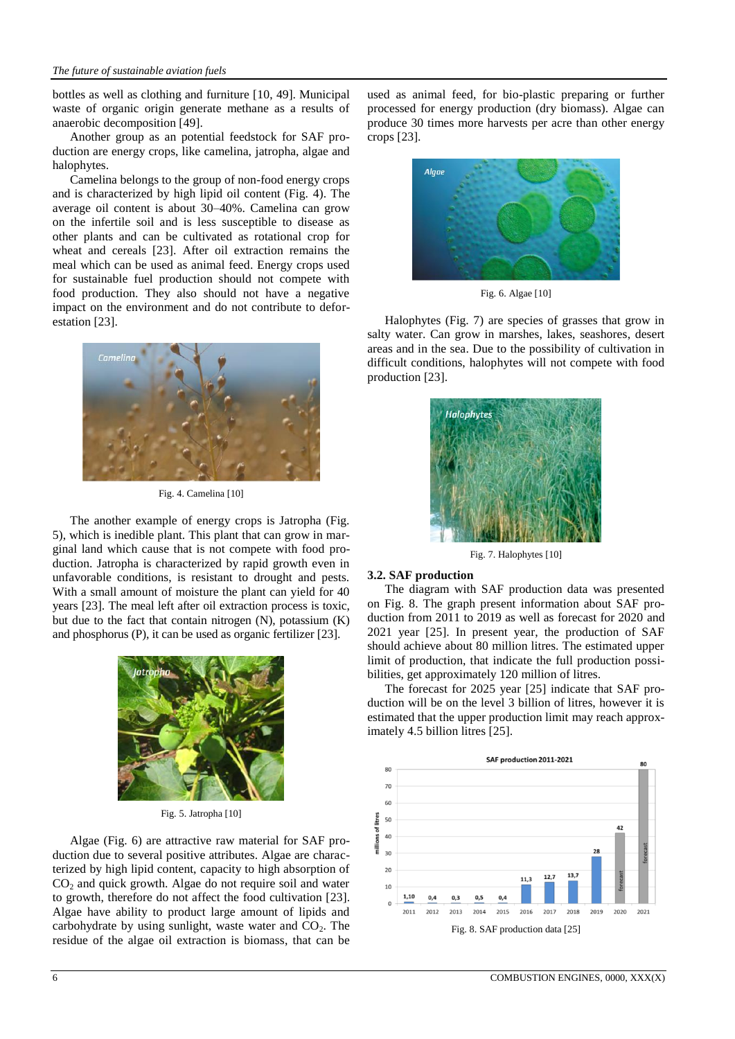bottles as well as clothing and furniture [10, 49]. Municipal waste of organic origin generate methane as a results of anaerobic decomposition [49].

Another group as an potential feedstock for SAF production are energy crops, like camelina, jatropha, algae and halophytes.

Camelina belongs to the group of non-food energy crops and is characterized by high lipid oil content (Fig. 4). The average oil content is about 30–40%. Camelina can grow on the infertile soil and is less susceptible to disease as other plants and can be cultivated as rotational crop for wheat and cereals [23]. After oil extraction remains the meal which can be used as animal feed. Energy crops used for sustainable fuel production should not compete with food production. They also should not have a negative impact on the environment and do not contribute to deforestation [23].



Fig. 4. Camelina [10]

The another example of energy crops is Jatropha (Fig. 5), which is inedible plant. This plant that can grow in marginal land which cause that is not compete with food production. Jatropha is characterized by rapid growth even in unfavorable conditions, is resistant to drought and pests. With a small amount of moisture the plant can yield for 40 years [23]. The meal left after oil extraction process is toxic, but due to the fact that contain nitrogen (N), potassium (K) and phosphorus (P), it can be used as organic fertilizer [23].



Fig. 5. Jatropha [10]

Algae (Fig. 6) are attractive raw material for SAF production due to several positive attributes. Algae are characterized by high lipid content, capacity to high absorption of  $CO<sub>2</sub>$  and quick growth. Algae do not require soil and water to growth, therefore do not affect the food cultivation [23]. Algae have ability to product large amount of lipids and carbohydrate by using sunlight, waste water and  $CO<sub>2</sub>$ . The residue of the algae oil extraction is biomass, that can be

used as animal feed, for bio-plastic preparing or further processed for energy production (dry biomass). Algae can produce 30 times more harvests per acre than other energy crops [23].



Fig. 6. Algae [10]

Halophytes (Fig. 7) are species of grasses that grow in salty water. Can grow in marshes, lakes, seashores, desert areas and in the sea. Due to the possibility of cultivation in difficult conditions, halophytes will not compete with food production [23].



Fig. 7. Halophytes [10]

#### **3.2. SAF production**

The diagram with SAF production data was presented on Fig. 8. The graph present information about SAF production from 2011 to 2019 as well as forecast for 2020 and 2021 year [25]. In present year, the production of SAF should achieve about 80 million litres. The estimated upper limit of production, that indicate the full production possibilities, get approximately 120 million of litres.

The forecast for 2025 year [25] indicate that SAF production will be on the level 3 billion of litres, however it is estimated that the upper production limit may reach approximately 4.5 billion litres [25].

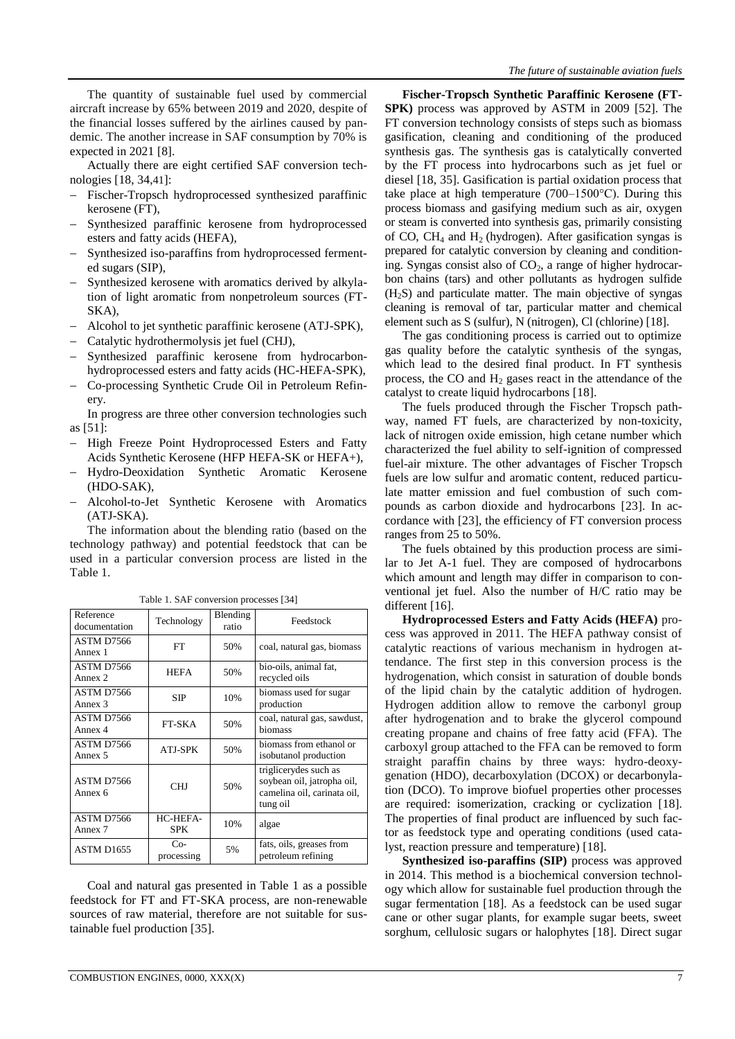The quantity of sustainable fuel used by commercial aircraft increase by 65% between 2019 and 2020, despite of the financial losses suffered by the airlines caused by pandemic. The another increase in SAF consumption by 70% is expected in 2021 [8].

Actually there are eight certified SAF conversion technologies [18, 34,41]:

- Fischer-Tropsch hydroprocessed synthesized paraffinic kerosene (FT),
- Synthesized paraffinic kerosene from hydroprocessed esters and fatty acids (HEFA),
- Synthesized iso-paraffins from hydroprocessed fermented sugars (SIP),
- Synthesized kerosene with aromatics derived by alkylation of light aromatic from nonpetroleum sources (FT-SKA),
- Alcohol to jet synthetic paraffinic kerosene (ATJ-SPK),
- Catalytic hydrothermolysis jet fuel (CHJ),
- Synthesized paraffinic kerosene from hydrocarbonhydroprocessed esters and fatty acids (HC-HEFA-SPK),
- Co-processing Synthetic Crude Oil in Petroleum Refinery.

In progress are three other conversion technologies such as [51]:

- High Freeze Point Hydroprocessed Esters and Fatty Acids Synthetic Kerosene (HFP HEFA-SK or HEFA+),
- Hydro-Deoxidation Synthetic Aromatic Kerosene (HDO-SAK),
- Alcohol-to-Jet Synthetic Kerosene with Aromatics (ATJ-SKA).

The information about the blending ratio (based on the technology pathway) and potential feedstock that can be used in a particular conversion process are listed in the Table 1.

| Reference<br>documentation | Technology             | Blending<br>ratio | Feedstock                                                                                      |  |
|----------------------------|------------------------|-------------------|------------------------------------------------------------------------------------------------|--|
| ASTM D7566<br>Annex 1      | <b>FT</b>              | 50%               | coal, natural gas, biomass                                                                     |  |
| ASTM D7566<br>Annex 2      | <b>HEFA</b>            | 50%               | bio-oils, animal fat,<br>recycled oils                                                         |  |
| ASTM D7566<br>Annex 3      | <b>SIP</b>             | 10%               | biomass used for sugar<br>production                                                           |  |
| ASTM D7566<br>Annex 4      | <b>FT-SKA</b>          | 50%               | coal, natural gas, sawdust,<br>biomass                                                         |  |
| ASTM D7566<br>Annex 5      | ATJ-SPK                | 50%               | biomass from ethanol or<br>isobutanol production                                               |  |
| ASTM D7566<br>Annex 6      | <b>CHJ</b>             | 50%               | triglicerydes such as<br>soybean oil, jatropha oil,<br>camelina oil, carinata oil,<br>tung oil |  |
| ASTM D7566<br>Annex 7      | HC-HEFA-<br><b>SPK</b> | 10%               | algae                                                                                          |  |
| <b>ASTM D1655</b>          | $Co-$<br>processing    | 5%                | fats, oils, greases from<br>petroleum refining                                                 |  |

Table 1. SAF conversion processes [34]

Coal and natural gas presented in Table 1 as a possible feedstock for FT and FT-SKA process, are non-renewable sources of raw material, therefore are not suitable for sustainable fuel production [35].

**Fischer-Tropsch Synthetic Paraffinic Kerosene (FT-SPK)** process was approved by ASTM in 2009 [52]. The FT conversion technology consists of steps such as biomass gasification, cleaning and conditioning of the produced synthesis gas. The synthesis gas is catalytically converted by the FT process into hydrocarbons such as jet fuel or diesel [18, 35]. Gasification is partial oxidation process that take place at high temperature (700–1500°C). During this process biomass and gasifying medium such as air, oxygen or steam is converted into synthesis gas, primarily consisting of CO,  $CH_4$  and  $H_2$  (hydrogen). After gasification syngas is prepared for catalytic conversion by cleaning and conditioning. Syngas consist also of  $CO<sub>2</sub>$ , a range of higher hydrocarbon chains (tars) and other pollutants as hydrogen sulfide  $(H<sub>2</sub>S)$  and particulate matter. The main objective of syngas cleaning is removal of tar, particular matter and chemical element such as S (sulfur), N (nitrogen), Cl (chlorine) [18].

The gas conditioning process is carried out to optimize gas quality before the catalytic synthesis of the syngas, which lead to the desired final product. In FT synthesis process, the CO and  $H_2$  gases react in the attendance of the catalyst to create liquid hydrocarbons [18].

The fuels produced through the Fischer Tropsch pathway, named FT fuels, are characterized by non-toxicity, lack of nitrogen oxide emission, high cetane number which characterized the fuel ability to self-ignition of compressed fuel-air mixture. The other advantages of Fischer Tropsch fuels are low sulfur and aromatic content, reduced particulate matter emission and fuel combustion of such compounds as carbon dioxide and hydrocarbons [23]. In accordance with [23], the efficiency of FT conversion process ranges from 25 to 50%.

The fuels obtained by this production process are similar to Jet A-1 fuel. They are composed of hydrocarbons which amount and length may differ in comparison to conventional jet fuel. Also the number of H/C ratio may be different [16].

**Hydroprocessed Esters and Fatty Acids (HEFA)** process was approved in 2011. The HEFA pathway consist of catalytic reactions of various mechanism in hydrogen attendance. The first step in this conversion process is the hydrogenation, which consist in saturation of double bonds of the lipid chain by the catalytic addition of hydrogen. Hydrogen addition allow to remove the carbonyl group after hydrogenation and to brake the glycerol compound creating propane and chains of free fatty acid (FFA). The carboxyl group attached to the FFA can be removed to form straight paraffin chains by three ways: hydro-deoxygenation (HDO), decarboxylation (DCOX) or decarbonylation (DCO). To improve biofuel properties other processes are required: isomerization, cracking or cyclization [18]. The properties of final product are influenced by such factor as feedstock type and operating conditions (used catalyst, reaction pressure and temperature) [18].

**Synthesized iso-paraffins (SIP)** process was approved in 2014. This method is a biochemical conversion technology which allow for sustainable fuel production through the sugar fermentation [18]. As a feedstock can be used sugar cane or other sugar plants, for example sugar beets, sweet sorghum, cellulosic sugars or halophytes [18]. Direct sugar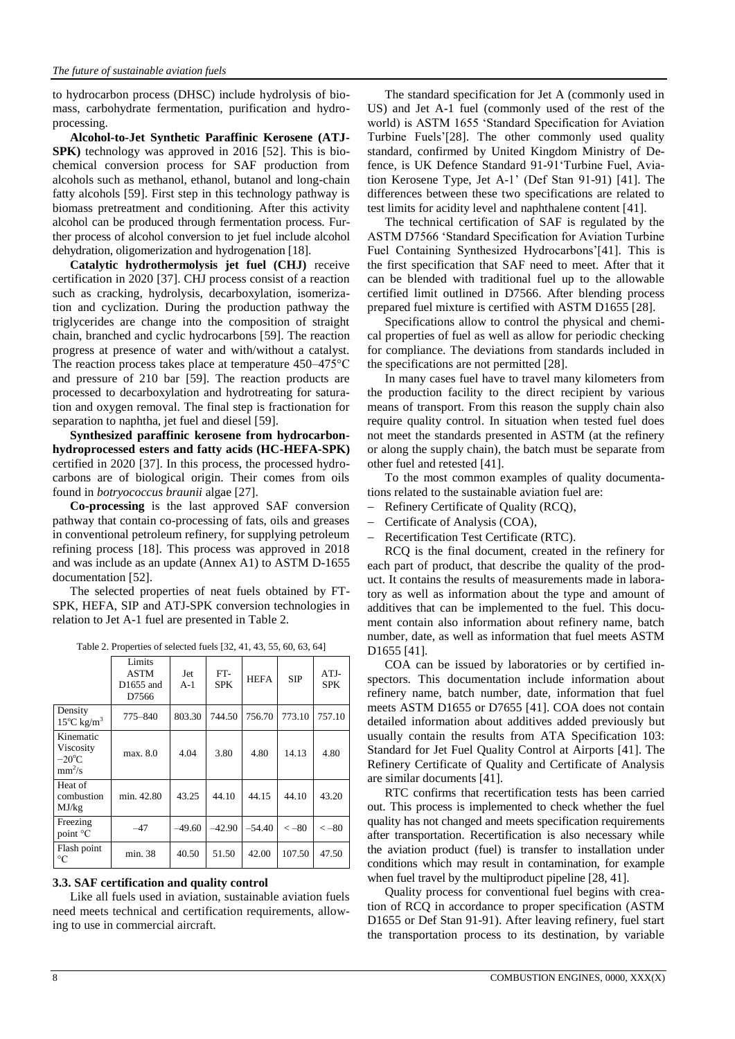to hydrocarbon process (DHSC) include hydrolysis of biomass, carbohydrate fermentation, purification and hydroprocessing.

**Alcohol-to-Jet Synthetic Paraffinic Kerosene (ATJ-SPK)** technology was approved in 2016 [52]. This is biochemical conversion process for SAF production from alcohols such as methanol, ethanol, butanol and long-chain fatty alcohols [59]. First step in this technology pathway is biomass pretreatment and conditioning. After this activity alcohol can be produced through fermentation process. Further process of alcohol conversion to jet fuel include alcohol dehydration, oligomerization and hydrogenation [18].

**Catalytic hydrothermolysis jet fuel (CHJ)** receive certification in 2020 [37]. CHJ process consist of a reaction such as cracking, hydrolysis, decarboxylation, isomerization and cyclization. During the production pathway the triglycerides are change into the composition of straight chain, branched and cyclic hydrocarbons [59]. The reaction progress at presence of water and with/without a catalyst. The reaction process takes place at temperature 450–475°C and pressure of 210 bar [59]. The reaction products are processed to decarboxylation and hydrotreating for saturation and oxygen removal. The final step is fractionation for separation to naphtha, jet fuel and diesel [59].

**Synthesized paraffinic kerosene from hydrocarbonhydroprocessed esters and fatty acids (HC-HEFA-SPK)**  certified in 2020 [37]. In this process, the processed hydrocarbons are of biological origin. Their comes from oils found in *botryococcus braunii* algae [27].

**Co-processing** is the last approved SAF conversion pathway that contain co-processing of fats, oils and greases in conventional petroleum refinery, for supplying petroleum refining process [18]. This process was approved in 2018 and was include as an update (Annex A1) to ASTM D-1655 documentation [52].

The selected properties of neat fuels obtained by FT-SPK, HEFA, SIP and ATJ-SPK conversion technologies in relation to Jet A-1 fuel are presented in Table 2.

|                                                       | Limits<br><b>ASTM</b><br>D1655 and<br>D7566 | Jet<br>$A-1$ | FT-<br><b>SPK</b> | <b>HEFA</b> | <b>SIP</b>    | $ATJ-$<br><b>SPK</b> |
|-------------------------------------------------------|---------------------------------------------|--------------|-------------------|-------------|---------------|----------------------|
| Density<br>$15^{\circ}$ C kg/m <sup>3</sup>           | 775–840                                     | 803.30       | 744.50            | 756.70      | 773.10        | 757.10               |
| Kinematic<br>Viscosity<br>$-20^{\circ}$ C<br>$mm^2/s$ | max. 8.0                                    | 4.04         | 3.80              | 4.80        | 14.13         | 4.80                 |
| Heat of<br>combustion<br>MJ/kg                        | min. 42.80                                  | 43.25        | 44.10             | 44.15       | 44.10         | 43.20                |
| Freezing<br>point °C                                  | -47                                         | $-49.60$     | $-42.90$          | $-54.40$    | $\langle -80$ | $\langle -80$        |
| Flash point<br>$\rm ^{\circ}C$                        | min. 38                                     | 40.50        | 51.50             | 42.00       | 107.50        | 47.50                |

## **3.3. SAF certification and quality control**

Like all fuels used in aviation, sustainable aviation fuels need meets technical and certification requirements, allowing to use in commercial aircraft.

The standard specification for Jet A (commonly used in US) and Jet A-1 fuel (commonly used of the rest of the world) is ASTM 1655 'Standard Specification for Aviation Turbine Fuels'[\[28\].](https://www.iata.org/contentassets/d13875e9ed784f75bac90f000760e998/iata20guidance20material20for20saf.pdf) The other commonly used quality standard, confirmed by United Kingdom Ministry of Defence, is UK Defence Standard 91-91'Turbine Fuel, Aviation Kerosene Type, Jet A-1' (Def Stan 91-91) [41]. The differences between these two specifications are related to test limits for acidity level and naphthalene content [41].

The technical certification of SAF is regulated by the ASTM D7566 'Standard Specification for Aviation Turbine Fuel Containing Synthesized Hydrocarbons'[41]. This is the first specification that SAF need to meet. After that it can be blended with traditional fuel up to the allowable certified limit outlined in D7566. After blending process prepared fuel mixture is certified with ASTM D1655 [\[28\]](https://www.iata.org/contentassets/d13875e9ed784f75bac90f000760e998/iata20guidance20material20for20saf.pdf).

Specifications allow to control the physical and chemical properties of fuel as well as allow for periodic checking for compliance. The deviations from standards included in the specifications are not permitted [28].

In many cases fuel have to travel many kilometers from the production facility to the direct recipient by various means of transport. From this reason the supply chain also require quality control. In situation when tested fuel does not meet the standards presented in ASTM (at the refinery or along the supply chain), the batch must be separate from other fuel and retested [41].

To the most common examples of quality documentations related to the sustainable aviation fuel are:

- Refinery Certificate of Quality (RCQ),
- Certificate of Analysis (COA),
- Recertification Test Certificate (RTC).

RCQ is the final document, created in the refinery for each part of product, that describe the quality of the product. It contains the results of measurements made in laboratory as well as information about the type and amount of additives that can be implemented to the fuel. This document contain also information about refinery name, batch number, date, as well as information that fuel meets ASTM D1655 [41].

COA can be issued by laboratories or by certified inspectors. This documentation include information about refinery name, batch number, date, information that fuel meets ASTM D1655 or D7655 [41]. COA does not contain detailed information about additives added previously but usually contain the results from ATA Specification 103: Standard for Jet Fuel Quality Control at Airports [41]. The Refinery Certificate of Quality and Certificate of Analysis are similar documents [41].

RTC confirms that recertification tests has been carried out. This process is implemented to check whether the fuel quality has not changed and meets specification requirements after transportation. Recertification is also necessary while the aviation product (fuel) is transfer to installation under conditions which may result in contamination, for example when fuel travel by the multiproduct pipeline [28, 41].

Quality process for conventional fuel begins with creation of RCQ in accordance to proper specification (ASTM D1655 or Def Stan 91-91). After leaving refinery, fuel start the transportation process to its destination, by variable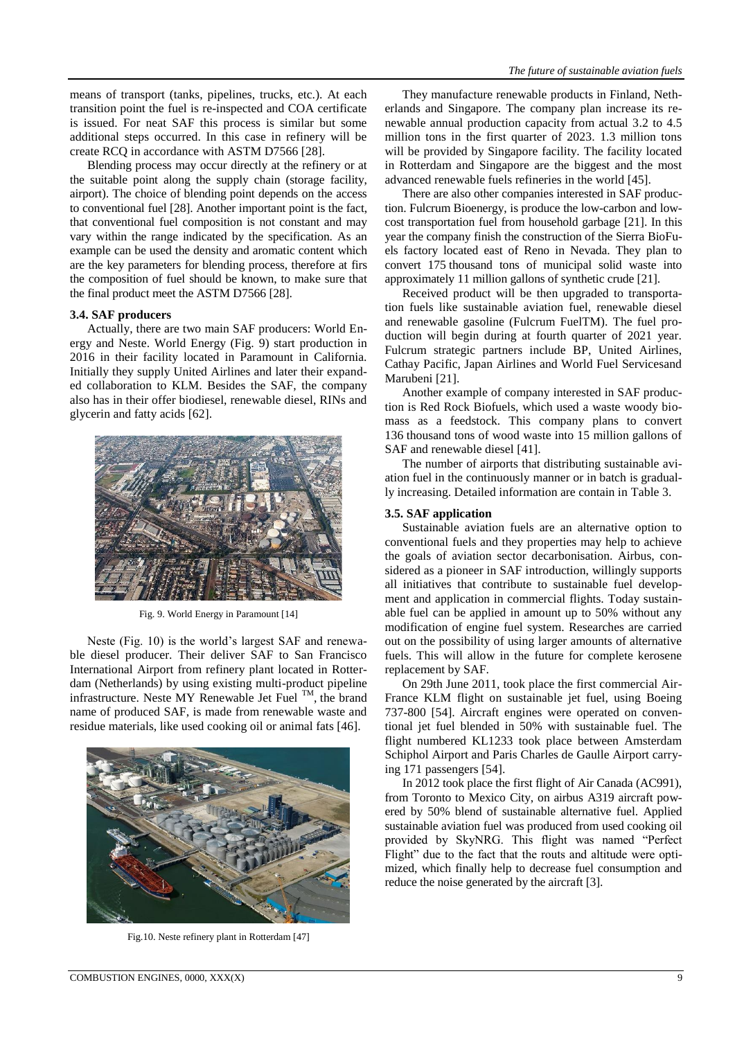means of transport (tanks, pipelines, trucks, etc.). At each transition point the fuel is re-inspected and COA certificate is issued. For neat SAF this process is similar but some additional steps occurred. In this case in refinery will be create RCQ in accordance with ASTM D7566 [28].

Blending process may occur directly at the refinery or at the suitable point along the supply chain (storage facility, airport). The choice of blending point depends on the access to conventional fuel [28]. Another important point is the fact, that conventional fuel composition is not constant and may vary within the range indicated by the specification. As an example can be used the density and aromatic content which are the key parameters for blending process, therefore at firs the composition of fuel should be known, to make sure that the final product meet the ASTM D7566 [28].

## **3.4. SAF producers**

Actually, there are two main SAF producers: World Energy and Neste. World Energy (Fig. 9) start production in 2016 in their facility located in Paramount in California. Initially they supply United Airlines and later their expanded collaboration to KLM. Besides the SAF, the company also has in their offer biodiesel, renewable diesel, RINs and glycerin and fatty acids [62].



Fig. 9. World Energy in Paramount [14]

Neste (Fig. 10) is the world's largest SAF and renewable diesel producer. Their deliver SAF to San Francisco International Airport from refinery plant located in Rotterdam (Netherlands) by using existing multi-product pipeline infrastructure. Neste MY Renewable Jet Fuel TM , the brand name of produced SAF, is made from renewable waste and residue materials, like used cooking oil or animal fats [46].



Fig.10. Neste refinery plant in Rotterdam [47]

They manufacture renewable products in Finland, Netherlands and Singapore. The company plan increase its renewable annual production capacity from actual 3.2 to 4.5 million tons in the first quarter of 2023. 1.3 million tons will be provided by Singapore facility. The facility located in Rotterdam and Singapore are the biggest and the most advanced renewable fuels refineries in the world [45].

There are also other companies interested in SAF production. Fulcrum Bioenergy, is produce the low-carbon and lowcost transportation fuel from household garbage [21]. In this year the company finish the construction of the Sierra BioFuels factory located east of Reno in Nevada. They plan to convert 175 thousand tons of municipal solid waste into approximately 11 million gallons of synthetic crude [21].

Received product will be then upgraded to transportation fuels like sustainable aviation fuel, renewable diesel and renewable gasoline (Fulcrum FuelTM). The fuel production will begin during at fourth quarter of 2021 year. Fulcrum strategic partners include BP, United Airlines, Cathay Pacific, Japan Airlines and World Fuel Servicesand Marubeni [21].

Another example of company interested in SAF production is Red Rock Biofuels, which used a waste woody biomass as a feedstock. This company plans to convert 136 thousand tons of wood waste into 15 million gallons of SAF and renewable diesel [41].

The number of airports that distributing sustainable aviation fuel in the continuously manner or in batch is gradually increasing. Detailed information are contain in Table 3.

#### **3.5. SAF application**

Sustainable aviation fuels are an alternative option to conventional fuels and they properties may help to achieve the goals of aviation sector decarbonisation. Airbus, considered as a pioneer in SAF introduction, willingly supports all initiatives that contribute to sustainable fuel development and application in commercial flights. Today sustainable fuel can be applied in amount up to 50% without any modification of engine fuel system. Researches are carried out on the possibility of using larger amounts of alternative fuels. This will allow in the future for complete kerosene replacement by SAF.

On 29th June 2011, took place the first commercial Air-France KLM flight on sustainable jet fuel, using Boeing 737-800 [54]. Aircraft engines were operated on conventional jet fuel blended in 50% with sustainable fuel. The flight numbered KL1233 took place between Amsterdam Schiphol Airport and Paris Charles de Gaulle Airport carrying 171 passengers [54].

In 2012 took place the first flight of Air Canada (AC991), from Toronto to Mexico City, on airbus A319 aircraft powered by 50% blend of sustainable alternative fuel. Applied sustainable aviation fuel was produced from used cooking oil provided by SkyNRG. This flight was named "Perfect Flight" due to the fact that the routs and altitude were optimized, which finally help to decrease fuel consumption and reduce the noise generated by the aircraft [3].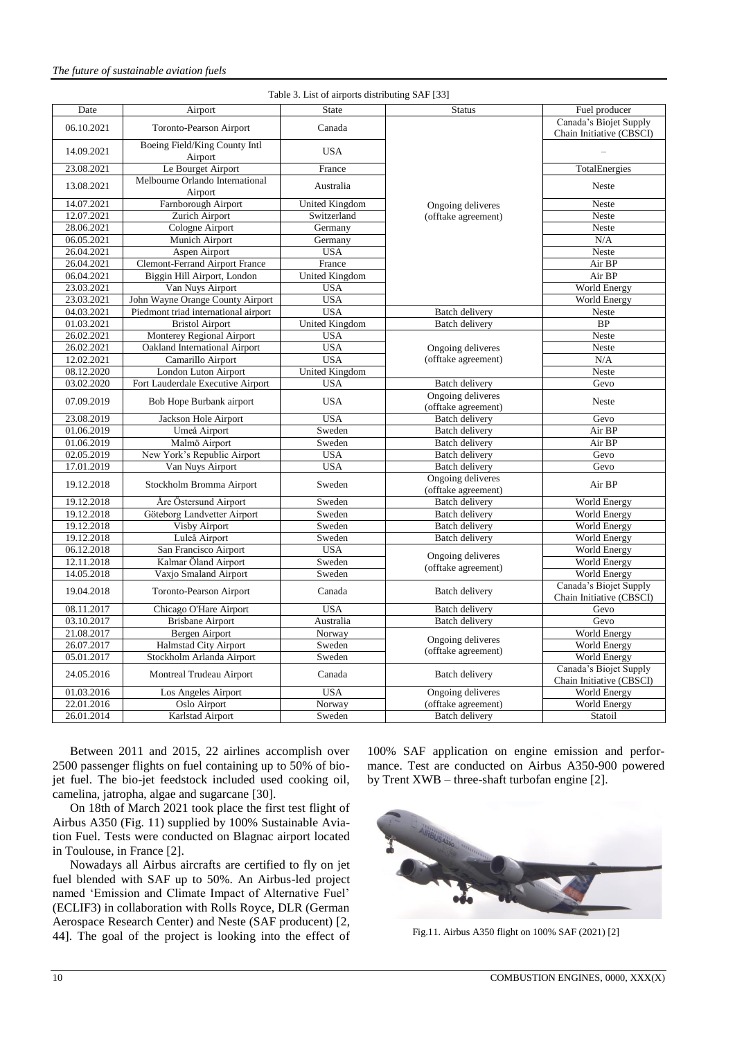| Date       | Airport                                  | <b>State</b>             | <b>Status</b>                            | Fuel producer                                      |  |
|------------|------------------------------------------|--------------------------|------------------------------------------|----------------------------------------------------|--|
|            |                                          |                          |                                          | Canada's Biojet Supply                             |  |
| 06.10.2021 | <b>Toronto-Pearson Airport</b>           | Canada                   |                                          | Chain Initiative (CBSCI)                           |  |
| 14.09.2021 | Boeing Field/King County Intl<br>Airport | <b>USA</b>               |                                          |                                                    |  |
| 23.08.2021 | Le Bourget Airport                       | France                   |                                          | TotalEnergies                                      |  |
|            | Melbourne Orlando International          |                          |                                          |                                                    |  |
| 13.08.2021 | Airport                                  | Australia                |                                          | Neste                                              |  |
| 14.07.2021 | Farnborough Airport                      | United Kingdom           | Ongoing deliveres                        | Neste                                              |  |
| 12.07.2021 | Zurich Airport                           | Switzerland              | (offtake agreement)                      | Neste                                              |  |
| 28.06.2021 | Cologne Airport                          | Germany                  |                                          | Neste                                              |  |
| 06.05.2021 | Munich Airport                           | Germany                  |                                          | N/A                                                |  |
| 26.04.2021 | Aspen Airport                            | <b>USA</b>               |                                          | Neste                                              |  |
| 26.04.2021 | <b>Clemont-Ferrand Airport France</b>    | France<br>United Kingdom |                                          | Air BP                                             |  |
| 06.04.2021 | Biggin Hill Airport, London              |                          |                                          | Air BP                                             |  |
| 23.03.2021 | Van Nuys Airport                         | <b>USA</b>               |                                          | <b>World Energy</b>                                |  |
| 23.03.2021 | John Wayne Orange County Airport         | <b>USA</b>               |                                          | <b>World Energy</b>                                |  |
| 04.03.2021 | Piedmont triad international airport     | <b>USA</b>               | <b>Batch delivery</b>                    | Neste                                              |  |
| 01.03.2021 | <b>Bristol Airport</b>                   | <b>United Kingdom</b>    | <b>Batch delivery</b>                    | $\overline{BP}$                                    |  |
| 26.02.2021 | Monterey Regional Airport                | <b>USA</b>               |                                          | Neste                                              |  |
| 26.02.2021 | Oakland International Airport            | <b>USA</b>               | Ongoing deliveres                        | Neste                                              |  |
| 12.02.2021 | Camarillo Airport                        | <b>USA</b>               | (offtake agreement)                      | N/A                                                |  |
| 08.12.2020 | London Luton Airport                     | United Kingdom           |                                          | Neste                                              |  |
| 03.02.2020 | Fort Lauderdale Executive Airport        | <b>USA</b>               | <b>Batch delivery</b>                    | Gevo                                               |  |
| 07.09.2019 | Bob Hope Burbank airport                 | <b>USA</b>               | Ongoing deliveres<br>(offtake agreement) | Neste                                              |  |
| 23.08.2019 | Jackson Hole Airport                     | <b>USA</b>               | <b>Batch delivery</b>                    | Gevo                                               |  |
| 01.06.2019 | Umeå Airport                             | Sweden                   | <b>Batch delivery</b>                    | Air BP                                             |  |
| 01.06.2019 | Malmö Airport                            | Sweden                   | <b>Batch</b> delivery                    | Air BP                                             |  |
| 02.05.2019 | New York's Republic Airport              | <b>USA</b>               | <b>Batch delivery</b>                    | Gevo                                               |  |
| 17.01.2019 | Van Nuys Airport                         | <b>USA</b>               | <b>Batch delivery</b>                    | Gevo                                               |  |
| 19.12.2018 | Stockholm Bromma Airport                 | Sweden                   | Ongoing deliveres<br>(offtake agreement) | Air BP                                             |  |
| 19.12.2018 | Åre Östersund Airport                    | Sweden                   | <b>Batch delivery</b>                    | <b>World Energy</b>                                |  |
| 19.12.2018 | Göteborg Landvetter Airport              | Sweden                   | <b>Batch delivery</b>                    | <b>World Energy</b>                                |  |
| 19.12.2018 | <b>Visby Airport</b>                     | Sweden                   | <b>Batch</b> delivery                    | World Energy                                       |  |
| 19.12.2018 | Luleå Airport                            | Sweden                   | <b>Batch delivery</b>                    | <b>World Energy</b>                                |  |
| 06.12.2018 | San Francisco Airport                    | <b>USA</b>               |                                          | World Energy                                       |  |
| 12.11.2018 | Kalmar Öland Airport                     | Sweden                   | Ongoing deliveres                        | World Energy                                       |  |
| 14.05.2018 | Vaxjo Smaland Airport                    | Sweden                   | (offtake agreement)                      | World Energy                                       |  |
| 19.04.2018 | Toronto-Pearson Airport                  | Canada                   | <b>Batch delivery</b>                    | Canada's Biojet Supply<br>Chain Initiative (CBSCI) |  |
| 08.11.2017 | Chicago O'Hare Airport                   | <b>USA</b>               | <b>Batch delivery</b>                    | Gevo                                               |  |
| 03.10.2017 | <b>Brisbane Airport</b>                  | Australia                | <b>Batch delivery</b>                    | Gevo                                               |  |
| 21.08.2017 | Bergen Airport                           | Norway                   |                                          | <b>World Energy</b>                                |  |
| 26.07.2017 | <b>Halmstad City Airport</b>             | Sweden                   | Ongoing deliveres                        | World Energy                                       |  |
| 05.01.2017 | Stockholm Arlanda Airport                | Sweden                   | (offtake agreement)                      | World Energy                                       |  |
| 24.05.2016 | Montreal Trudeau Airport                 | Canada                   | <b>Batch delivery</b>                    | Canada's Biojet Supply<br>Chain Initiative (CBSCI) |  |
| 01.03.2016 | Los Angeles Airport                      | <b>USA</b>               | Ongoing deliveres                        | World Energy                                       |  |
| 22.01.2016 | Oslo Airport                             | Norway                   | (offtake agreement)                      | World Energy                                       |  |
| 26.01.2014 | Karlstad Airport                         | Sweden                   | <b>Batch</b> delivery                    | Statoil                                            |  |

Table 3. List of airports distributing SAF [33]

Between 2011 and 2015, 22 airlines accomplish over 2500 passenger flights on fuel containing up to 50% of biojet fuel. The bio-jet feedstock included used cooking oil, camelina, jatropha, algae and sugarcane [30].

On 18th of March 2021 took place the first test flight of Airbus A350 (Fig. 11) supplied by 100% Sustainable Aviation Fuel. Tests were conducted on Blagnac airport located in Toulouse, in France [2].

Nowadays all Airbus aircrafts are certified to fly on jet fuel blended with SAF up to 50%. An Airbus-led project named 'Emission and Climate Impact of Alternative Fuel' (ECLIF3) in collaboration with Rolls Royce, DLR (German Aerospace Research Center) and Neste (SAF producent) [2, 44]. The goal of the project is looking into the effect of

100% SAF application on engine emission and performance. Test are conducted on Airbus A350-900 powered by Trent XWB – three-shaft turbofan engine [\[2\]](https://www.neste.com/releases-and-news/aviation/aviation-leaders-launch-first-flight-100-sustainable-aviation-fuel-emissions-study-commercial).



Fig.11. Airbus A350 flight on 100% SAF (2021) [2]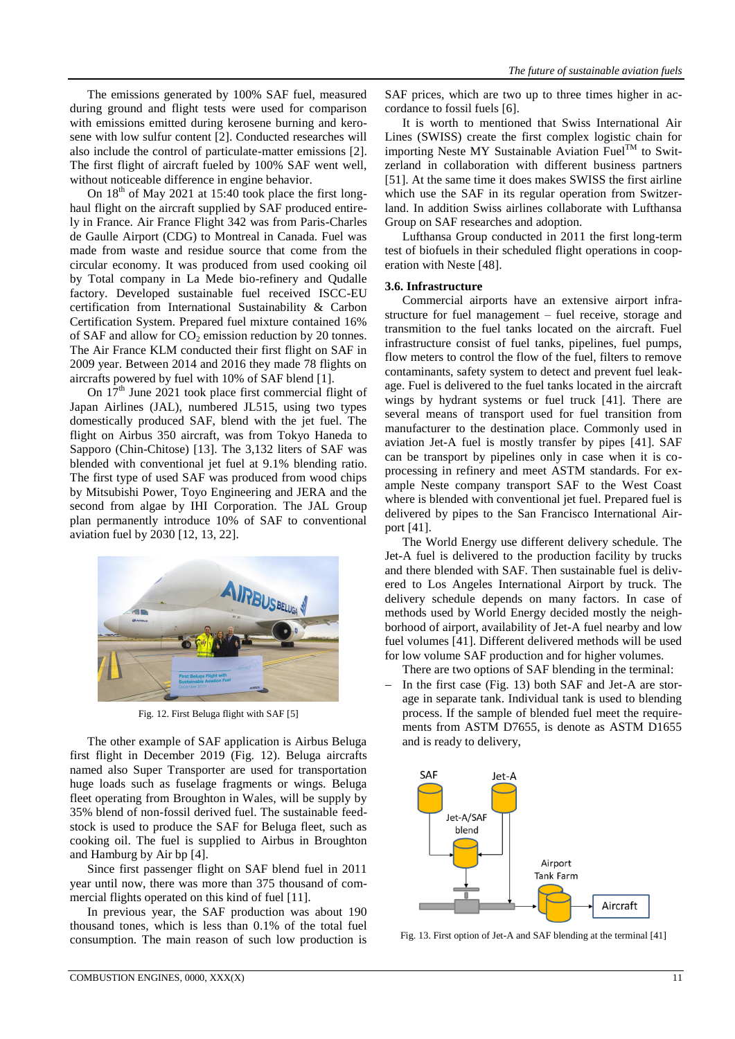The emissions generated by 100% SAF fuel, measured during ground and flight tests were used for comparison with emissions emitted during kerosene burning and kerosene with low sulfur content [2]. Conducted researches will also include the control of particulate-matter emissions [2]. The first flight of aircraft fueled by 100% SAF went well, without noticeable difference in engine behavior.

On  $18<sup>th</sup>$  of May 2021 at 15:40 took place the first longhaul flight on the aircraft supplied by SAF produced entirely in France. Air France Flight 342 was from Paris-Charles de Gaulle Airport (CDG) to Montreal in Canada. Fuel was made from waste and residue source that come from the circular economy. It was produced from used cooking oil by Total company in La Mede bio-refinery and Qudalle factory. Developed sustainable fuel received ISCC-EU certification from International Sustainability & Carbon Certification System. Prepared fuel mixture contained 16% of SAF and allow for  $CO<sub>2</sub>$  emission reduction by 20 tonnes. The Air France KLM conducted their first flight on SAF in 2009 year. Between 2014 and 2016 they made 78 flights on aircrafts powered by fuel with 10% of SAF blend [1].

On  $17<sup>th</sup>$  June 2021 took place first commercial flight of Japan Airlines (JAL), numbered JL515, using two types domestically produced SAF, blend with the jet fuel. The flight on Airbus 350 aircraft, was from Tokyo Haneda to Sapporo (Chin-Chitose) [13]. The 3,132 liters of SAF was blended with conventional jet fuel at 9.1% blending ratio. The first type of used SAF was produced from wood chips by Mitsubishi Power, Toyo Engineering and JERA and the second from algae by IHI Corporation. The JAL Group plan permanently introduce 10% of SAF to conventional aviation fuel by 2030 [12, 13, 22].



Fig. 12. First Beluga flight with SAF [5]

The other example of SAF application is Airbus Beluga first flight in December 2019 (Fig. 12). Beluga aircrafts named also Super Transporter are used for transportation huge loads such as fuselage fragments or wings. Beluga fleet operating from Broughton in Wales, will be supply by 35% blend of non-fossil derived fuel. The sustainable feedstock is used to produce the SAF for Beluga fleet, such as cooking oil. The fuel is supplied to Airbus in Broughton and Hamburg by Air bp [4].

Since first passenger flight on SAF blend fuel in 2011 year until now, there was more than 375 thousand of commercial flights operated on this kind of fuel [11].

In previous year, the SAF production was about 190 thousand tones, which is less than 0.1% of the total fuel consumption. The main reason of such low production is SAF prices, which are two up to three times higher in accordance to fossil fuels [6].

It is worth to mentioned that Swiss International Air Lines (SWISS) create the first complex logistic chain for importing Neste MY Sustainable Aviation  $\widetilde{\mathrm{Fuel}}^{\mathrm{TM}}$  to Switzerland in collaboration with different business partners [51]. At the same time it does makes SWISS the first airline which use the SAF in its regular operation from Switzerland. In addition Swiss airlines collaborate with Lufthansa Group on SAF researches and adoption.

Lufthansa Group conducted in 2011 the first long-term test of biofuels in their scheduled flight operations in cooperation with Neste [48].

## **3.6. Infrastructure**

Commercial airports have an extensive airport infrastructure for fuel management – fuel receive, storage and transmition to the fuel tanks located on the aircraft. Fuel infrastructure consist of fuel tanks, pipelines, fuel pumps, flow meters to control the flow of the fuel, filters to remove contaminants, safety system to detect and prevent fuel leakage. Fuel is delivered to the fuel tanks located in the aircraft wings by hydrant systems or fuel truck [41]. There are several means of transport used for fuel transition from manufacturer to the destination place. Commonly used in aviation Jet-A fuel is mostly transfer by pipes [41]. SAF can be transport by pipelines only in case when it is coprocessing in refinery and meet ASTM standards. For example Neste company transport SAF to the West Coast where is blended with conventional jet fuel. Prepared fuel is delivered by pipes to the San Francisco International Airport [41].

The World Energy use different delivery schedule. The Jet-A fuel is delivered to the production facility by trucks and there blended with SAF. Then sustainable fuel is delivered to Los Angeles International Airport by truck. The delivery schedule depends on many factors. In case of methods used by World Energy decided mostly the neighborhood of airport, availability of Jet-A fuel nearby and low fuel volumes [41]. Different delivered methods will be used for low volume SAF production and for higher volumes.

- There are two options of SAF blending in the terminal:
- In the first case (Fig. 13) both SAF and Jet-A are storage in separate tank. Individual tank is used to blending process. If the sample of blended fuel meet the requirements from ASTM D7655, is denote as ASTM D1655 and is ready to delivery,



Fig. 13. First option of Jet-A and SAF blending at the terminal [41]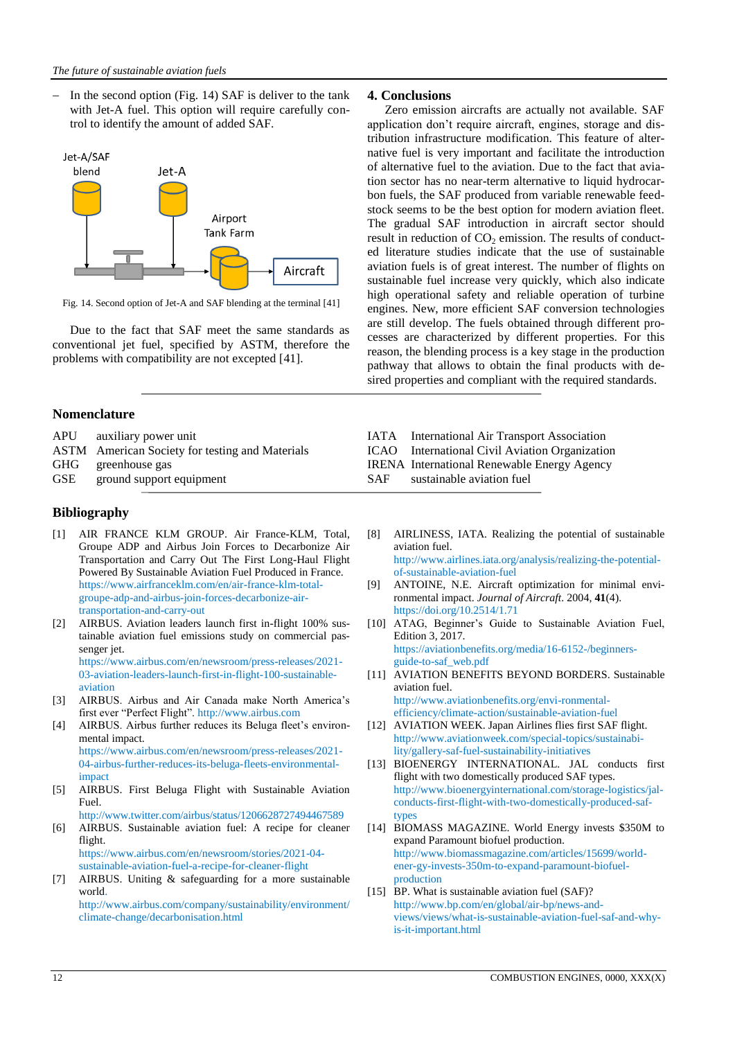In the second option (Fig. 14) SAF is deliver to the tank with Jet-A fuel. This option will require carefully control to identify the amount of added SAF.



Fig. 14. Second option of Jet-A and SAF blending at the terminal [41]

Due to the fact that SAF meet the same standards as conventional jet fuel, specified by ASTM, therefore the problems with compatibility are not excepted [41].

## **Nomenclature**

- APU auxiliary power unit
- ASTM American Society for testing and Materials
- GHG greenhouse gas
- GSE ground support equipment

## **Bibliography**

- [1] AIR FRANCE KLM GROUP. Air France-KLM, Total, Groupe ADP and Airbus Join Forces to Decarbonize Air Transportation and Carry Out The First Long-Haul Flight Powered By Sustainable Aviation Fuel Produced in France. [https://www.airfranceklm.com/en/air-france-klm-total](https://www.airfranceklm.com/en/air-france-klm-total-groupe-adp-and-airbus-join-forces-decarboni-)[groupe-adp-and-airbus-join-forces-decarboniz](https://www.airfranceklm.com/en/air-france-klm-total-groupe-adp-and-airbus-join-forces-decarboni-)e-airtransportation-and-carry-out
- [2] AIRBUS. Aviation leaders launch first in-flight 100% sustainable aviation fuel emissions study on commercial passenger jet. https://www.airbus.com/en/newsroom/press-releases/2021- 03-aviation-leaders-launch-first-in-flight-100-sustainable-
- aviation [3] AIRBUS. Airbus and Air Canada make North America's first ever "Perfect Flight". http:[//www.airbus.com](http://www.airbus.com/)
- [4] AIRBUS. Airbus further reduces its Beluga fleet's environmental impact. https://www.airbus.com/en/newsroom/press-releases/2021- 04-airbus-further-reduces-its-beluga-fleets-environmentalimpact
- [5] AIRBUS. First Beluga Flight with Sustainable Aviation Fuel.

http://www.twitter.com/airbus/status/1206628727494467589

[6] AIRBUS. Sustainable aviation fuel: A recipe for cleaner flight. [https://www.airbus.com/en/newsroom/stories/2021-04-](https://www.airbus.com/en/newsroom/stories/2021-04-sustainable-aviation-fuel-a-recipe-for-cleaner-flight)

[sustainable-aviation-fuel-a-recipe-for-cleaner-flight](https://www.airbus.com/en/newsroom/stories/2021-04-sustainable-aviation-fuel-a-recipe-for-cleaner-flight) [7] AIRBUS. Uniting & safeguarding for a more sustainable

world. http:[//www.airbus.com/company/sustainability/e](http://www.airbus.com/company/sustainability/-)nvironment/

climate-change/decarbonisation.html

## **4. Conclusions**

Zero emission aircrafts are actually not available. SAF application don't require aircraft, engines, storage and distribution infrastructure modification. This feature of alternative fuel is very important and facilitate the introduction of alternative fuel to the aviation. Due to the fact that aviation sector has no near-term alternative to liquid hydrocarbon fuels, the SAF produced from variable renewable feedstock seems to be the best option for modern aviation fleet. The gradual SAF introduction in aircraft sector should result in reduction of  $CO<sub>2</sub>$  emission. The results of conducted literature studies indicate that the use of sustainable aviation fuels is of great interest. The number of flights on sustainable fuel increase very quickly, which also indicate high operational safety and reliable operation of turbine engines. New, more efficient SAF conversion technologies are still develop. The fuels obtained through different processes are characterized by different properties. For this reason, the blending process is a key stage in the production pathway that allows to obtain the final products with desired properties and compliant with the required standards.

- IATA International Air Transport Association
- ICAO International Civil Aviation Organization
- IRENA International Renewable Energy Agency
- SAF sustainable aviation fuel
- [8] AIRLINESS, IATA. Realizing the potential of sustainable aviation fuel.

http:[//www.airlines.iata.org/analysis/realizi](http://www.airlines.iata.org/analysis/realiz-)ng-the-potentialof-sustainable-aviation-fuel

- [9] ANTOINE, N.E. Aircraft optimization for minimal environmental impact. *Journal of Aircraft*. 2004, **41**(4). https://doi.org/10.2514/1.71
- [10] ATAG, Beginner's Guide to Sustainable Aviation Fuel, Edition 3, 2017. https://aviationbenefits.org/media/16-6152-/beginnersguide-to-saf\_web.pdf
- [11] AVIATION BENEFITS BEYOND BORDERS. Sustainable aviation fuel. http://www.aviationbenefits.org/envi-ronmental-

efficiency/climate-action/sustainable-aviation-fuel

- [12] AVIATION WEEK. Japan Airlines flies first SAF flight. http://www.aviationweek.com/special-topics/sustainability/gallery-saf-fuel-sustainability-initiatives
- [13] BIOENERGY INTERNATIONAL. JAL conducts first flight with two domestically produced SAF types. http://www.bioenergyinternational.com/storage-logistics/jalconducts-first-flight-with-two-domestically-produced-saftypes
- [14] BIOMASS MAGAZINE. World Energy invests \$350M to expand Paramount biofuel production. http://www.biomassmagazine.com/articles/15699/worldener-gy-invests-350m-to-expand-paramount-biofuelproduction
- [15] BP. What is sustainable aviation fuel (SAF)? http://www.bp.com/en/global/air-bp/news-andviews/views/what-is-sustainable-aviation-fuel-saf-and-whyis-it-important.html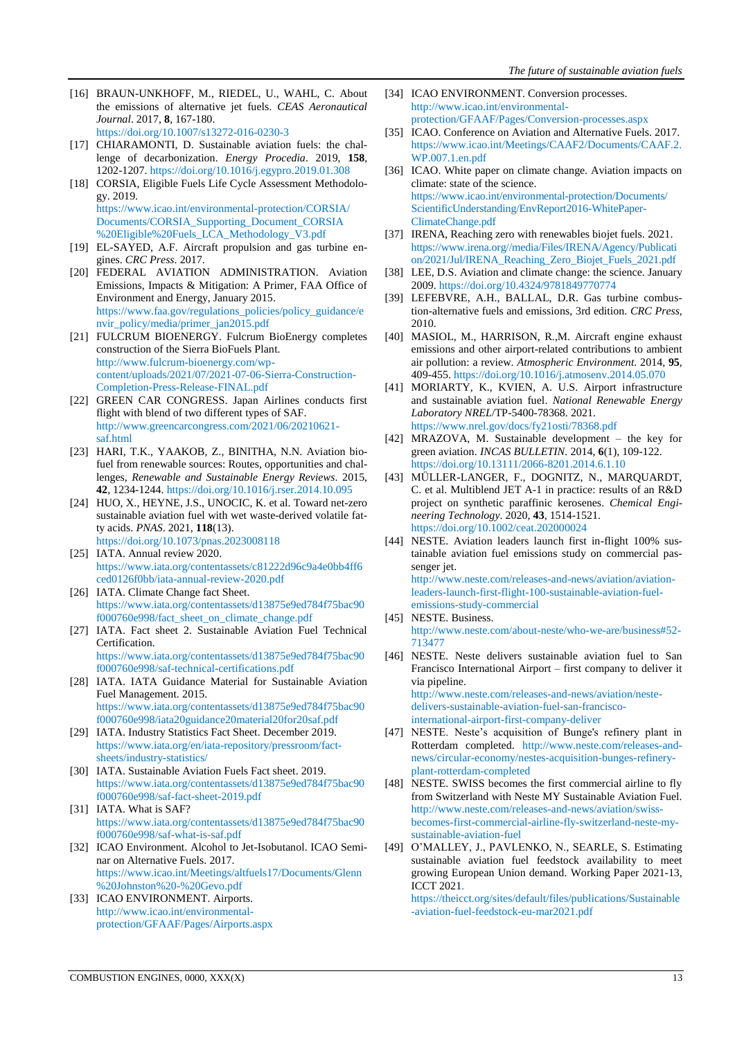- [16] BRAUN-UNKHOFF, M., RIEDEL, U., WAHL, C. About the emissions of alternative jet fuels. *CEAS Aeronautical Journal*. 2017, **8**, 167-180. https://doi.org/10.1007/s13272-016-0230-3
- [17] CHIARAMONTI, D. Sustainable aviation fuels: the challenge of decarbonization. *Energy Procedia*. 2019, **158**, 1202-1207[. https://doi.org/10.1016/j.egypro.2](https://doi.org/10.1016/j.egypro.-)019.01.308
- [18] CORSIA, Eligible Fuels Life Cycle Assessment Methodology. 2019. [https://www.icao.int/environmental-protection/CORSIA/](https://www.icao.int/environmental-protection/CORSIA/Documents/CORSIA_Supporting_Document_CORSIA%20Eligible%20Fuels_LCA_Methodology_V3.pdf)  [Documents/CORSIA\\_Supporting\\_Document\\_CORSIA](https://www.icao.int/environmental-protection/CORSIA/Documents/CORSIA_Supporting_Document_CORSIA%20Eligible%20Fuels_LCA_Methodology_V3.pdf) [%20Eligible%20Fuels\\_LCA\\_Methodology\\_V3.pdf](https://www.icao.int/environmental-protection/CORSIA/Documents/CORSIA_Supporting_Document_CORSIA%20Eligible%20Fuels_LCA_Methodology_V3.pdf)
- [19] EL-SAYED, A.F. Aircraft propulsion and gas turbine engines. *CRC Press*. 2017.
- [20] FEDERAL AVIATION ADMINISTRATION. Aviation Emissions, Impacts & Mitigation: A Primer, FAA Office of Environment and Energy, January 2015. https://www.faa.gov/regulations\_policies/policy\_guidance/e nvir\_policy/media/primer\_jan2015.pdf
- [21] FULCRUM BIOENERGY. Fulcrum BioEnergy completes construction of the Sierra BioFuels Plant. http://www.fulcrum-bioenergy.com/wpcontent/uploads/2021/07/2021-07-06-Sierra-Construction-Completion-Press-Release-FINAL.pdf
- [22] GREEN CAR CONGRESS. Japan Airlines conducts first flight with blend of two different types of SAF. http://www.greencarcongress.com/2021/06/20210621 saf.html
- [23] HARI, T.K., YAAKOB, Z., BINITHA, N.N. Aviation biofuel from renewable sources: Routes, opportunities and challenges, *Renewable and Sustainable Energy Reviews*. 2015, **42**, 1234-1244. https://doi.org/10.1016/j.rser.2014.10.095
- [24] HUO, X., HEYNE, J.S., UNOCIC, K. et al. Toward net-zero sustainable aviation fuel with wet waste-derived volatile fatty acids. *PNAS*. 2021, **118**(13). https://doi.org/10.1073/pnas.2023008118
- [25] IATA. Annual review 2020. https://www.iata.org/contentassets/c81222d96c9a4e0bb4ff6 ced0126f0bb/iata-annual-review-2020.pdf
- [26] IATA. Climate Change fact Sheet. https://www.iata.org/contentassets/d13875e9ed784f75bac90 f000760e998/fact\_sheet\_on\_climate\_change.pdf
- [27] IATA. Fact sheet 2. Sustainable Aviation Fuel Technical Certification. https://www.iata.org/contentassets/d13875e9ed784f75bac90

f000760e998/saf-technical-certifications.pdf [28] IATA. IATA Guidance Material for Sustainable Aviation

- Fuel Management. 2015. https://www.iata.org/contentassets/d13875e9ed784f75bac90 f000760e998/iata20guidance20material20for20saf.pdf
- [29] IATA. Industry Statistics Fact Sheet. December 2019. https://www.iata.org/en/iata-repository/pressroom/factsheets/industry-statistics/
- [30] IATA. Sustainable Aviation Fuels Fact sheet. 2019. https://www.iata.org/contentassets/d13875e9ed784f75bac90 f000760e998/saf-fact-sheet-2019.pdf
- [31] IATA. What is SAF? https://www.iata.org/contentassets/d13875e9ed784f75bac90 f000760e998/saf-what-is-saf.pdf
- [32] ICAO Environment. Alcohol to Jet-Isobutanol. ICAO Seminar on Alternative Fuels. 2017. https://www.icao.int/Meetings/altfuels17/Documents/Glenn %20Johnston%20-%20Gevo.pdf
- [33] ICAO ENVIRONMENT. Airports. http://www.icao.int/environmentalprotection/GFAAF/Pages/Airports.aspx
- [34] ICAO ENVIRONMENT. Conversion processes. http://www.icao.int/environmentalprotection/GFAAF/Pages/Conversion-processes.aspx
- [35] ICAO. Conference on Aviation and Alternative Fuels. 2017. https://www.icao.int/Meetings/CAAF2/Documents/CAAF.2. WP.007.1.en.pdf
- [36] ICAO. White paper on climate change. Aviation impacts on climate: state of the science. [https://www.icao.int/environmental-protection/Documents/](https://www.icao.int/environmental-protection/Documents/ScientificUnderstanding/EnvReport2016-WhitePaper-ClimateChange.pdf)  [ScientificUnderstanding/EnvReport2016-WhitePaper-](https://www.icao.int/environmental-protection/Documents/ScientificUnderstanding/EnvReport2016-WhitePaper-ClimateChange.pdf)[ClimateChange.pdf](https://www.icao.int/environmental-protection/Documents/ScientificUnderstanding/EnvReport2016-WhitePaper-ClimateChange.pdf)
- [37] IRENA, Reaching zero with renewables biojet fuels. 2021. https://www.irena.org//media/Files/IRENA/Agency/Publicati on/2021/Jul/IRENA\_Reaching\_Zero\_Biojet\_Fuels\_2021.pdf
- [38] LEE, D.S. Aviation and climate change: the science. January 2009. https://doi.org/10.4324/9781849770774
- [39] LEFEBVRE, A.H., BALLAL, D.R. Gas turbine combustion-alternative fuels and emissions, 3rd edition. *CRC Press*, 2010.
- [40] MASIOL, M., HARRISON, R.,M. Aircraft engine exhaust emissions and other airport-related contributions to ambient air pollution: a review. *Atmospheric Environment.* 2014, **95**, 409-455. https://doi.org[/10.1016/j.atmosenv.2014.05.070](https://dx.doi.org/10.1016%2Fj.atmosenv.2014.05.070)
- [41] MORIARTY, K., KVIEN, A. U.S. Airport infrastructure and sustainable aviation fuel. *National Renewable Energy Laboratory NREL*/TP-5400-78368. 2021. https://www.nrel.gov/docs/fy21osti/78368.pdf
- [42] MRAZOVA, M. Sustainable development the key for green aviation. *INCAS BULLETIN*. 2014, **6**(1), 109-122. https://doi.org/10.13111/2066-8201.2014.6.1.10
- [43] MÜLLER-LANGER, F., DOGNITZ, N., MARQUARDT, C. et al. Multiblend JET A-1 in practice: results of an R&D project on synthetic paraffinic kerosenes. *Chemical Engineering Technology*. 2020, **43**, 1514-1521. https://doi.org/10.1002/ceat.202000024
- [44] NESTE. Aviation leaders launch first in-flight 100% sustainable aviation fuel emissions study on commercial passenger jet.

http://www.neste.com/releases-and-news/aviation/aviationleaders-launch-first-flight-100-sustainable-aviation-fuelemissions-study-commercial

- [45] NESTE. Business. http://www.neste.com/about-neste/who-we-are/business#52- 713477
- [46] NESTE. Neste delivers sustainable aviation fuel to San Francisco International Airport – first company to deliver it via pipeline. http://www.neste.com/releases-and-news/aviation/nestedelivers-sustainable-aviation-fuel-san-francisco-

international-airport-first-company-deliver

- [47] NESTE. Neste's acquisition of Bunge's refinery plant in Rotterdam completed. http://www.neste.com/releases-andnews/circular-economy/nestes-acquisition-bunges-refineryplant-rotterdam-completed
- [48] NESTE. SWISS becomes the first commercial airline to fly from Switzerland with Neste MY Sustainable Aviation Fuel. http://www.neste.com/releases-and-news/aviation/swissbecomes-first-commercial-airline-fly-switzerland-neste-mysustainable-aviation-fuel
- [49] O'MALLEY, J., PAVLENKO, N., SEARLE, S. Estimating sustainable aviation fuel feedstock availability to meet growing European Union demand. Working Paper 2021-13, ICCT 2021.

https://theicct.org/sites/default/files/publications/Sustainable -aviation-fuel-feedstock-eu-mar2021.pdf